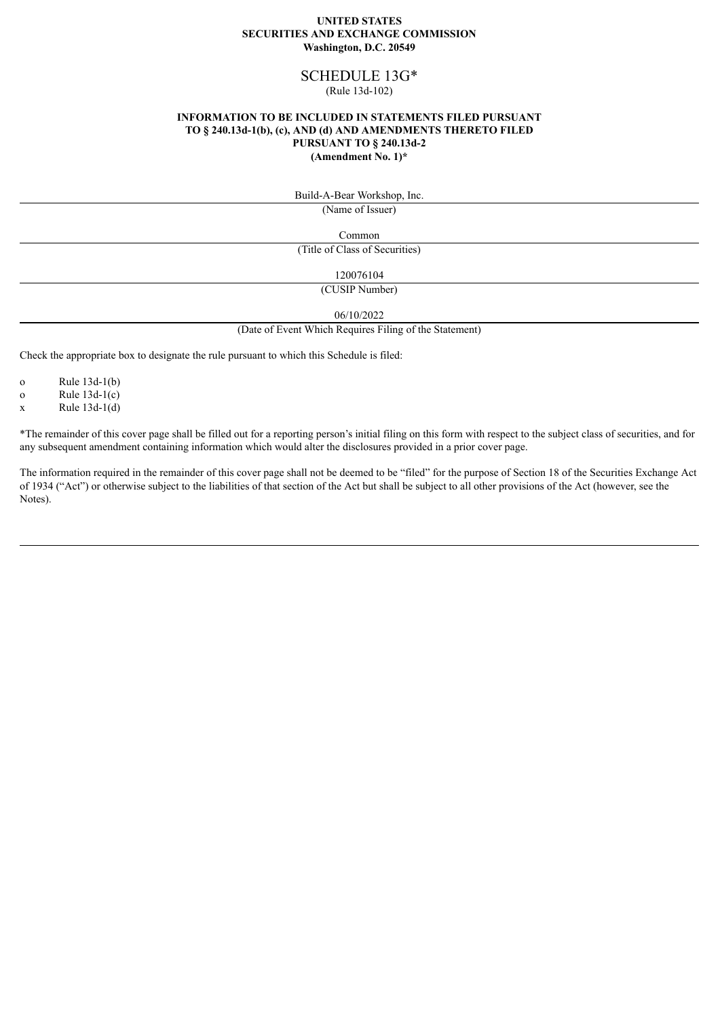#### **UNITED STATES SECURITIES AND EXCHANGE COMMISSION Washington, D.C. 20549**

# SCHEDULE 13G\*

### (Rule 13d-102)

#### **INFORMATION TO BE INCLUDED IN STATEMENTS FILED PURSUANT TO § 240.13d-1(b), (c), AND (d) AND AMENDMENTS THERETO FILED PURSUANT TO § 240.13d-2 (Amendment No. 1)\***

Build-A-Bear Workshop, Inc.

(Name of Issuer)

Common (Title of Class of Securities)

120076104

(CUSIP Number)

06/10/2022

(Date of Event Which Requires Filing of the Statement)

Check the appropriate box to designate the rule pursuant to which this Schedule is filed:

o Rule 13d-1(b)

o Rule 13d-1(c)

 $x$  Rule 13d-1(d)

\*The remainder of this cover page shall be filled out for a reporting person's initial filing on this form with respect to the subject class of securities, and for any subsequent amendment containing information which would alter the disclosures provided in a prior cover page.

The information required in the remainder of this cover page shall not be deemed to be "filed" for the purpose of Section 18 of the Securities Exchange Act of 1934 ("Act") or otherwise subject to the liabilities of that section of the Act but shall be subject to all other provisions of the Act (however, see the Notes).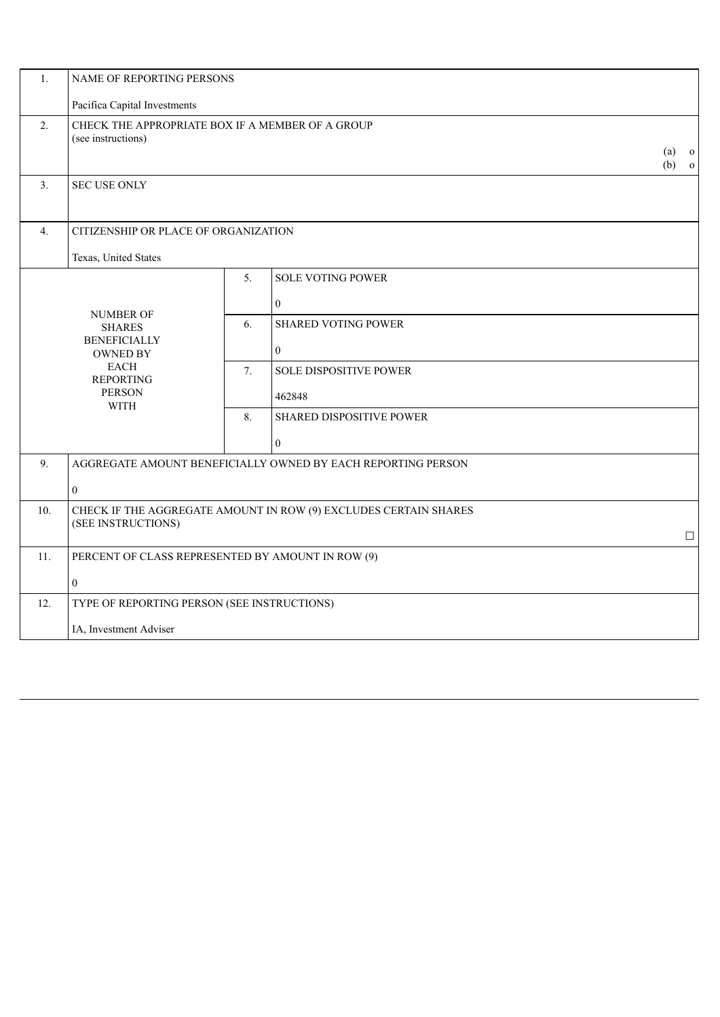| 1.               | NAME OF REPORTING PERSONS                                                                                                                      |                                             |                            |  |  |
|------------------|------------------------------------------------------------------------------------------------------------------------------------------------|---------------------------------------------|----------------------------|--|--|
|                  | Pacifica Capital Investments                                                                                                                   |                                             |                            |  |  |
| 2.               | CHECK THE APPROPRIATE BOX IF A MEMBER OF A GROUP<br>(see instructions)<br>(a)<br>$\mathbf{O}$<br>(b)<br>$\mathbf{o}$                           |                                             |                            |  |  |
| 3.               | <b>SEC USE ONLY</b>                                                                                                                            |                                             |                            |  |  |
| $\overline{4}$ . | CITIZENSHIP OR PLACE OF ORGANIZATION                                                                                                           |                                             |                            |  |  |
|                  | Texas, United States                                                                                                                           |                                             |                            |  |  |
|                  | <b>NUMBER OF</b><br><b>SHARES</b><br><b>BENEFICIALLY</b><br><b>OWNED BY</b><br><b>EACH</b><br><b>REPORTING</b><br><b>PERSON</b><br><b>WITH</b> | 5.                                          | <b>SOLE VOTING POWER</b>   |  |  |
|                  |                                                                                                                                                |                                             | $\boldsymbol{0}$           |  |  |
|                  |                                                                                                                                                | 6.                                          | <b>SHARED VOTING POWER</b> |  |  |
|                  |                                                                                                                                                |                                             | $\mathbf{0}$               |  |  |
|                  |                                                                                                                                                | 7.                                          | SOLE DISPOSITIVE POWER     |  |  |
|                  |                                                                                                                                                |                                             | 462848                     |  |  |
|                  |                                                                                                                                                | 8.                                          | SHARED DISPOSITIVE POWER   |  |  |
|                  |                                                                                                                                                |                                             | $\boldsymbol{0}$           |  |  |
| 9.               | AGGREGATE AMOUNT BENEFICIALLY OWNED BY EACH REPORTING PERSON                                                                                   |                                             |                            |  |  |
|                  | $\overline{0}$                                                                                                                                 |                                             |                            |  |  |
| 10.              | CHECK IF THE AGGREGATE AMOUNT IN ROW (9) EXCLUDES CERTAIN SHARES                                                                               |                                             |                            |  |  |
|                  | (SEE INSTRUCTIONS)<br>$\Box$                                                                                                                   |                                             |                            |  |  |
| 11.              | PERCENT OF CLASS REPRESENTED BY AMOUNT IN ROW (9)                                                                                              |                                             |                            |  |  |
|                  | $\overline{0}$                                                                                                                                 |                                             |                            |  |  |
| 12.              |                                                                                                                                                | TYPE OF REPORTING PERSON (SEE INSTRUCTIONS) |                            |  |  |
|                  | IA, Investment Adviser                                                                                                                         |                                             |                            |  |  |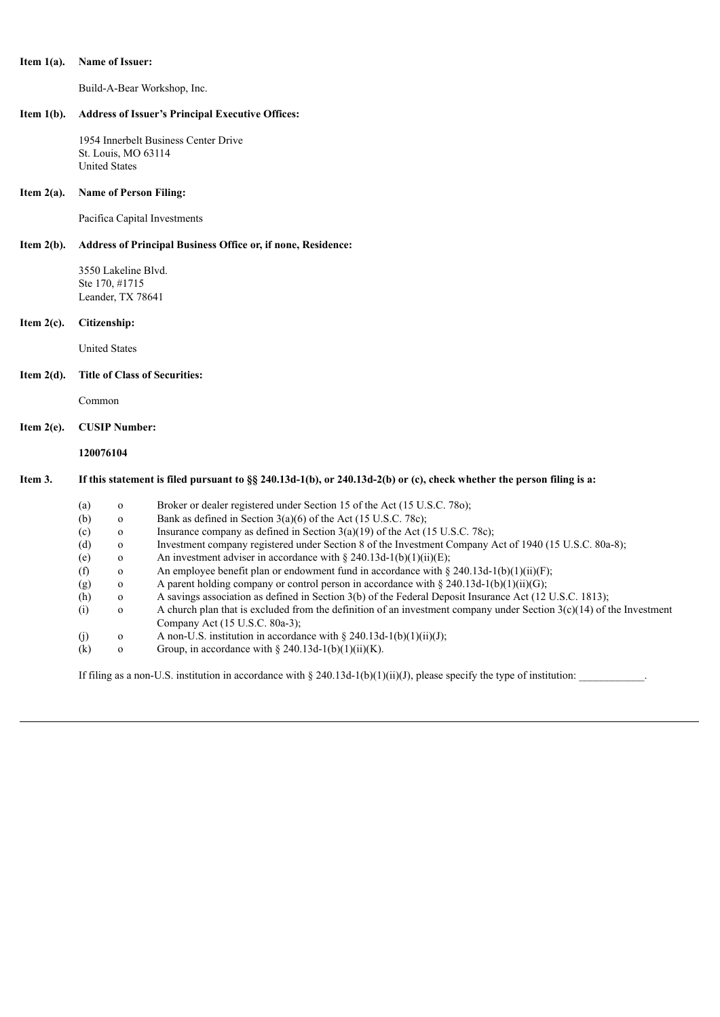#### **Item 1(a). Name of Issuer:**

Build-A-Bear Workshop, Inc.

#### **Item 1(b). Address of Issuer's Principal Executive Offices:**

1954 Innerbelt Business Center Drive St. Louis, MO 63114 United States

#### **Item 2(a). Name of Person Filing:**

Pacifica Capital Investments

## **Item 2(b). Address of Principal Business Office or, if none, Residence:**

3550 Lakeline Blvd. Ste 170, #1715 Leander, TX 78641

#### **Item 2(c). Citizenship:**

United States

## **Item 2(d). Title of Class of Securities:**

Common

#### **Item 2(e). CUSIP Number:**

**120076104**

## Item 3. If this statement is filed pursuant to §§ 240.13d-1(b), or 240.13d-2(b) or (c), check whether the person filing is a:

| (a) | $\mathbf 0$  | Broker or dealer registered under Section 15 of the Act (15 U.S.C. 780);                                               |
|-----|--------------|------------------------------------------------------------------------------------------------------------------------|
| (b) | $\mathbf{O}$ | Bank as defined in Section $3(a)(6)$ of the Act (15 U.S.C. 78c);                                                       |
| (c) | $\mathbf{O}$ | Insurance company as defined in Section $3(a)(19)$ of the Act (15 U.S.C. 78c);                                         |
| (d) | $\Omega$     | Investment company registered under Section 8 of the Investment Company Act of 1940 (15 U.S.C. 80a-8);                 |
| (e) | $\mathbf{O}$ | An investment adviser in accordance with $\S 240.13d-1(b)(1)(ii)(E)$ ;                                                 |
| (f) | $\mathbf{O}$ | An employee benefit plan or endowment fund in accordance with $\S$ 240.13d-1(b)(1)(ii)(F);                             |
| (g) | $\Omega$     | A parent holding company or control person in accordance with $\S 240.13d-1(b)(1)(ii)(G)$ ;                            |
| (h) | $\Omega$     | A savings association as defined in Section 3(b) of the Federal Deposit Insurance Act (12 U.S.C. 1813);                |
| (i) | $\Omega$     | A church plan that is excluded from the definition of an investment company under Section $3(c)(14)$ of the Investment |
|     |              | Company Act (15 U.S.C. 80a-3);                                                                                         |
| (j) | $\mathbf 0$  | A non-U.S. institution in accordance with $\S 240.13d-1(b)(1)(ii)(J)$ ;                                                |
| (k) | 0            | Group, in accordance with § 240.13d-1(b)(1)(ii)(K).                                                                    |
|     |              |                                                                                                                        |

If filing as a non-U.S. institution in accordance with § 240.13d-1(b)(1)(ii)(J), please specify the type of institution: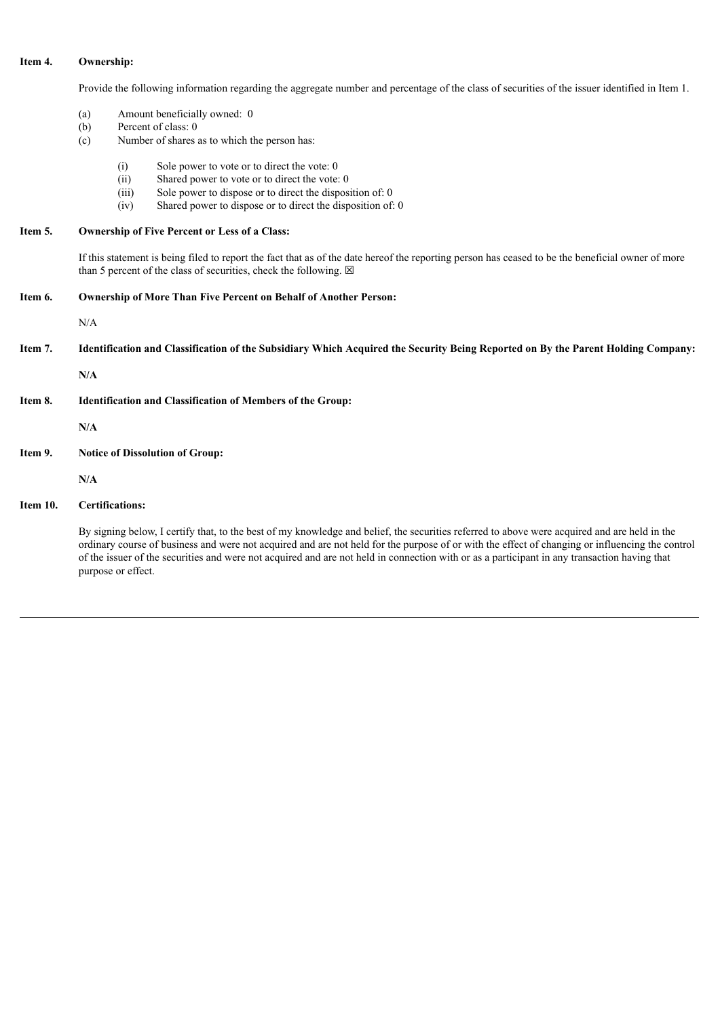# **Item 4. Ownership:**

Provide the following information regarding the aggregate number and percentage of the class of securities of the issuer identified in Item 1.

- (a) Amount beneficially owned: 0
- (b) Percent of class: 0
- (c) Number of shares as to which the person has:
	- (i) Sole power to vote or to direct the vote: 0
	- (ii) Shared power to vote or to direct the vote: 0
	- (iii) Sole power to dispose or to direct the disposition of: 0
	- (iv) Shared power to dispose or to direct the disposition of: 0

## **Item 5. Ownership of Five Percent or Less of a Class:**

If this statement is being filed to report the fact that as of the date hereof the reporting person has ceased to be the beneficial owner of more than 5 percent of the class of securities, check the following.  $\boxtimes$ 

**Item 6. Ownership of More Than Five Percent on Behalf of Another Person:**

N/A

Item 7. Identification and Classification of the Subsidiary Which Acquired the Security Being Reported on By the Parent Holding Company:

**N/A**

**Item 8. Identification and Classification of Members of the Group:**

**N/A**

**Item 9. Notice of Dissolution of Group:**

**N/A**

**Item 10. Certifications:**

By signing below, I certify that, to the best of my knowledge and belief, the securities referred to above were acquired and are held in the ordinary course of business and were not acquired and are not held for the purpose of or with the effect of changing or influencing the control of the issuer of the securities and were not acquired and are not held in connection with or as a participant in any transaction having that purpose or effect.